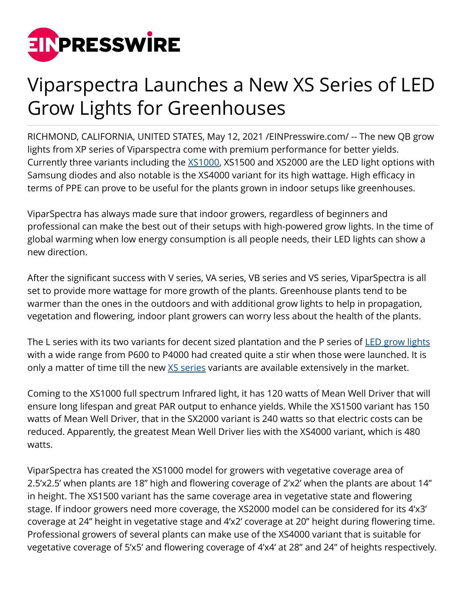

## Viparspectra Launches a New XS Series of LED Grow Lights for Greenhouses

RICHMOND, CALIFORNIA, UNITED STATES, May 12, 2021 /[EINPresswire.com](http://www.einpresswire.com)/ -- The new QB grow lights from XP series of Viparspectra come with premium performance for better yields. Currently three variants including the [XS1000,](https://www.viparspectra.com/products/xs-series-xs1000) XS1500 and XS2000 are the LED light options with Samsung diodes and also notable is the XS4000 variant for its high wattage. High efficacy in terms of PPE can prove to be useful for the plants grown in indoor setups like greenhouses.

ViparSpectra has always made sure that indoor growers, regardless of beginners and professional can make the best out of their setups with high-powered grow lights. In the time of global warming when low energy consumption is all people needs, their LED lights can show a new direction.

After the significant success with V series, VA series, VB series and VS series, ViparSpectra is all set to provide more wattage for more growth of the plants. Greenhouse plants tend to be warmer than the ones in the outdoors and with additional grow lights to help in propagation, vegetation and flowering, indoor plant growers can worry less about the health of the plants.

The L series with its two variants for decent sized plantation and the P series of [LED grow lights](https://www.viparspectra.com/) with a wide range from P600 to P4000 had created quite a stir when those were launched. It is only a matter of time till the new [XS series](https://www.viparspectra.com/collections/xs-series) variants are available extensively in the market.

Coming to the XS1000 full spectrum Infrared light, it has 120 watts of Mean Well Driver that will ensure long lifespan and great PAR output to enhance yields. While the XS1500 variant has 150 watts of Mean Well Driver, that in the SX2000 variant is 240 watts so that electric costs can be reduced. Apparently, the greatest Mean Well Driver lies with the XS4000 variant, which is 480 watts.

ViparSpectra has created the XS1000 model for growers with vegetative coverage area of 2.5'x2.5' when plants are 18" high and flowering coverage of 2'x2' when the plants are about 14" in height. The XS1500 variant has the same coverage area in vegetative state and flowering stage. If indoor growers need more coverage, the XS2000 model can be considered for its 4'x3' coverage at 24" height in vegetative stage and 4'x2' coverage at 20" height during flowering time. Professional growers of several plants can make use of the XS4000 variant that is suitable for vegetative coverage of 5'x5' and flowering coverage of 4'x4' at 28" and 24" of heights respectively.